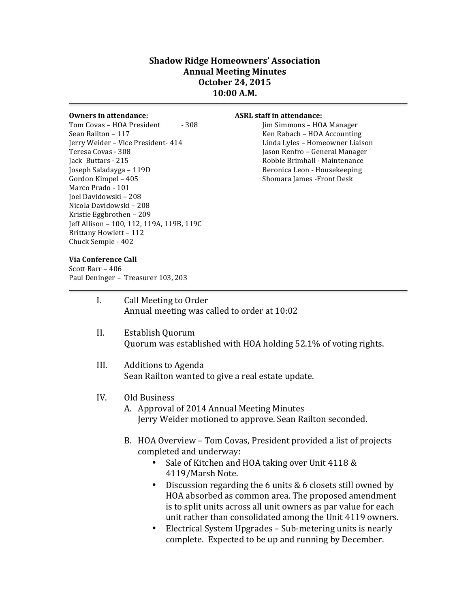## **Shadow Ridge Homeowners' Association Annual Meeting Minutes October 24, 2015 10:00 A.M.**

Tom Covas – HOA President - 308 Jim Simmons – HOA Manager Sean Railton – 117 The Communisties of the Rabach – HOA Accounting Jerry Weider - Vice President- 414 Linda Lyles - Homeowner Liaison Teresa Covas - 308 **Jason** Renfro – General Manager Jack Buttars - 215 **All and Strutters** Robbie Brimhall - Maintenance Joseph Saladayga – 119D **Beronica Leon** - Housekeeping Gordon Kimpel – 405 Shomara James -Front Desk Marco Prado - 101 Joel Davidowski – 208 Nicola Davidowski - 208 Kristie Eggbrothen - 209 Jeff Allison - 100, 112, 119A, 119B, 119C Brittany Howlett - 112 Chuck Semple - 402

## **Owners in attendance: ASRL** staff in attendance:

## **Via Conference Call**

Scott Barr - 406 Paul Deninger - Treasurer 103, 203

| I.   | Call Meeting to Order<br>Annual meeting was called to order at 10:02                                                                                                                                                                                                                                                                                                                                                                                                                          |
|------|-----------------------------------------------------------------------------------------------------------------------------------------------------------------------------------------------------------------------------------------------------------------------------------------------------------------------------------------------------------------------------------------------------------------------------------------------------------------------------------------------|
| II.  | Establish Quorum<br>Quorum was established with HOA holding 52.1% of voting rights.                                                                                                                                                                                                                                                                                                                                                                                                           |
| III. | <b>Additions to Agenda</b><br>Sean Railton wanted to give a real estate update.                                                                                                                                                                                                                                                                                                                                                                                                               |
| IV.  | Old Business<br>A. Approval of 2014 Annual Meeting Minutes<br>Jerry Weider motioned to approve. Sean Railton seconded.                                                                                                                                                                                                                                                                                                                                                                        |
|      | B. HOA Overview – Tom Covas, President provided a list of projects<br>completed and underway:<br>Sale of Kitchen and HOA taking over Unit 4118 &<br>4119/Marsh Note.<br>Discussion regarding the 6 units $& 6$ closets still owned by<br>٠<br>HOA absorbed as common area. The proposed amendment<br>is to split units across all unit owners as par value for each<br>unit rather than consolidated among the Unit 4119 owners.<br>Electrical System Upgrades – Sub-metering units is nearly |

• Electrical System Upgrades – Sub-metering units is nearly complete. Expected to be up and running by December.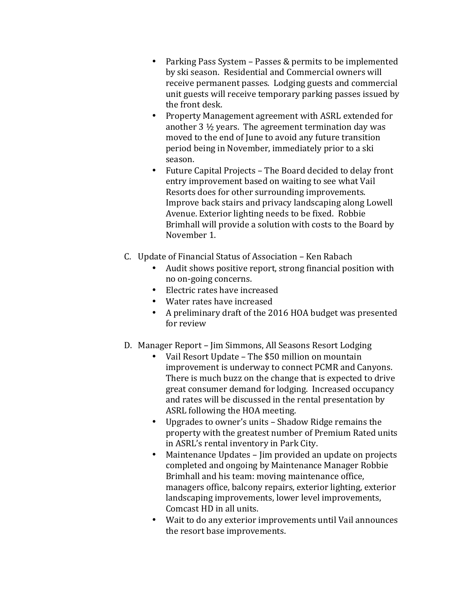- Parking Pass System Passes & permits to be implemented by ski season. Residential and Commercial owners will receive permanent passes. Lodging guests and commercial unit guests will receive temporary parking passes issued by the front desk.
- Property Management agreement with ASRL extended for another  $3\frac{1}{2}$  years. The agreement termination day was moved to the end of June to avoid any future transition period being in November, immediately prior to a ski season.
- Future Capital Projects The Board decided to delay front entry improvement based on waiting to see what Vail Resorts does for other surrounding improvements. Improve back stairs and privacy landscaping along Lowell Avenue. Exterior lighting needs to be fixed. Robbie Brimhall will provide a solution with costs to the Board by November 1.
- C. Update of Financial Status of Association Ken Rabach
	- Audit shows positive report, strong financial position with no on-going concerns.
	- $\bullet$  Electric rates have increased
	- Water rates have increased
	- A preliminary draft of the 2016 HOA budget was presented for review
- D. Manager Report Jim Simmons, All Seasons Resort Lodging
	- Vail Resort Update The \$50 million on mountain improvement is underway to connect PCMR and Canyons. There is much buzz on the change that is expected to drive great consumer demand for lodging. Increased occupancy and rates will be discussed in the rental presentation by ASRL following the HOA meeting.
	- Upgrades to owner's units Shadow Ridge remains the property with the greatest number of Premium Rated units in ASRL's rental inventory in Park City.
	- Maintenance Updates Jim provided an update on projects completed and ongoing by Maintenance Manager Robbie Brimhall and his team: moving maintenance office, managers office, balcony repairs, exterior lighting, exterior landscaping improvements, lower level improvements, Comcast HD in all units.
	- Wait to do any exterior improvements until Vail announces the resort base improvements.